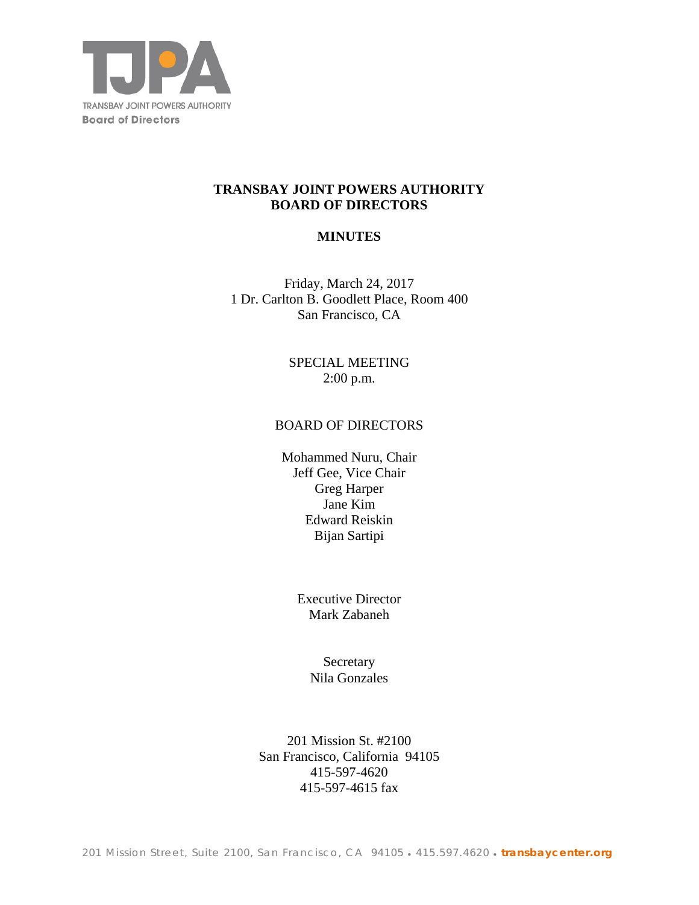

# **TRANSBAY JOINT POWERS AUTHORITY BOARD OF DIRECTORS**

# **MINUTES**

Friday, March 24, 2017 1 Dr. Carlton B. Goodlett Place, Room 400 San Francisco, CA

> SPECIAL MEETING 2:00 p.m.

#### BOARD OF DIRECTORS

Mohammed Nuru, Chair Jeff Gee, Vice Chair Greg Harper Jane Kim Edward Reiskin Bijan Sartipi

> Executive Director Mark Zabaneh

> > **Secretary** Nila Gonzales

201 Mission St. #2100 San Francisco, California 94105 415-597-4620 415-597-4615 fax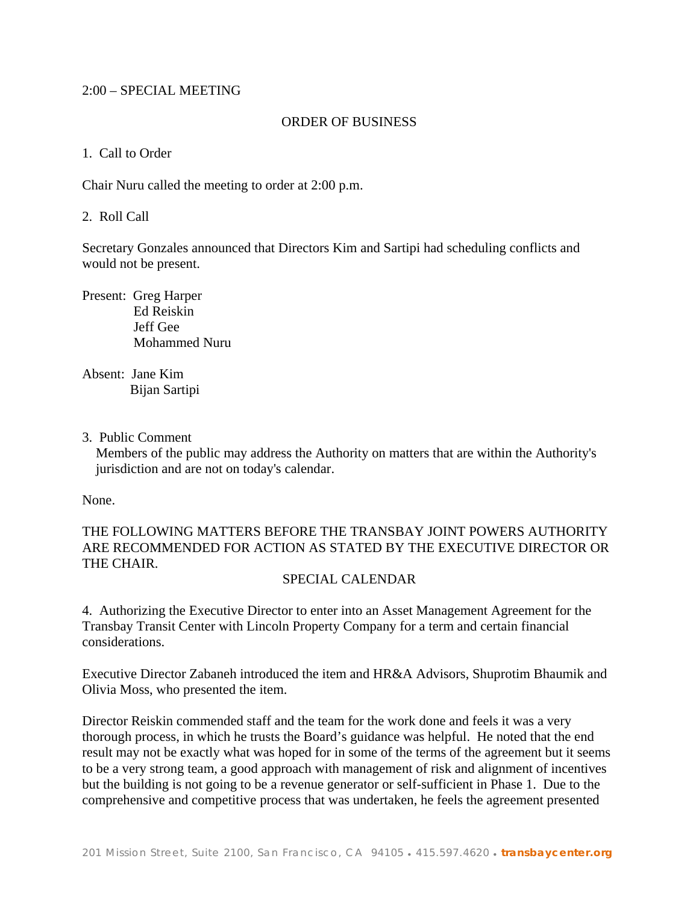### 2:00 – SPECIAL MEETING

#### ORDER OF BUSINESS

#### 1. Call to Order

Chair Nuru called the meeting to order at 2:00 p.m.

#### 2. Roll Call

Secretary Gonzales announced that Directors Kim and Sartipi had scheduling conflicts and would not be present.

Present: Greg Harper Ed Reiskin Jeff Gee Mohammed Nuru

Absent: Jane Kim Bijan Sartipi

#### 3. Public Comment

 Members of the public may address the Authority on matters that are within the Authority's jurisdiction and are not on today's calendar.

None.

# THE FOLLOWING MATTERS BEFORE THE TRANSBAY JOINT POWERS AUTHORITY ARE RECOMMENDED FOR ACTION AS STATED BY THE EXECUTIVE DIRECTOR OR THE CHAIR.

## SPECIAL CALENDAR

4. Authorizing the Executive Director to enter into an Asset Management Agreement for the Transbay Transit Center with Lincoln Property Company for a term and certain financial considerations.

Executive Director Zabaneh introduced the item and HR&A Advisors, Shuprotim Bhaumik and Olivia Moss, who presented the item.

Director Reiskin commended staff and the team for the work done and feels it was a very thorough process, in which he trusts the Board's guidance was helpful. He noted that the end result may not be exactly what was hoped for in some of the terms of the agreement but it seems to be a very strong team, a good approach with management of risk and alignment of incentives but the building is not going to be a revenue generator or self-sufficient in Phase 1. Due to the comprehensive and competitive process that was undertaken, he feels the agreement presented